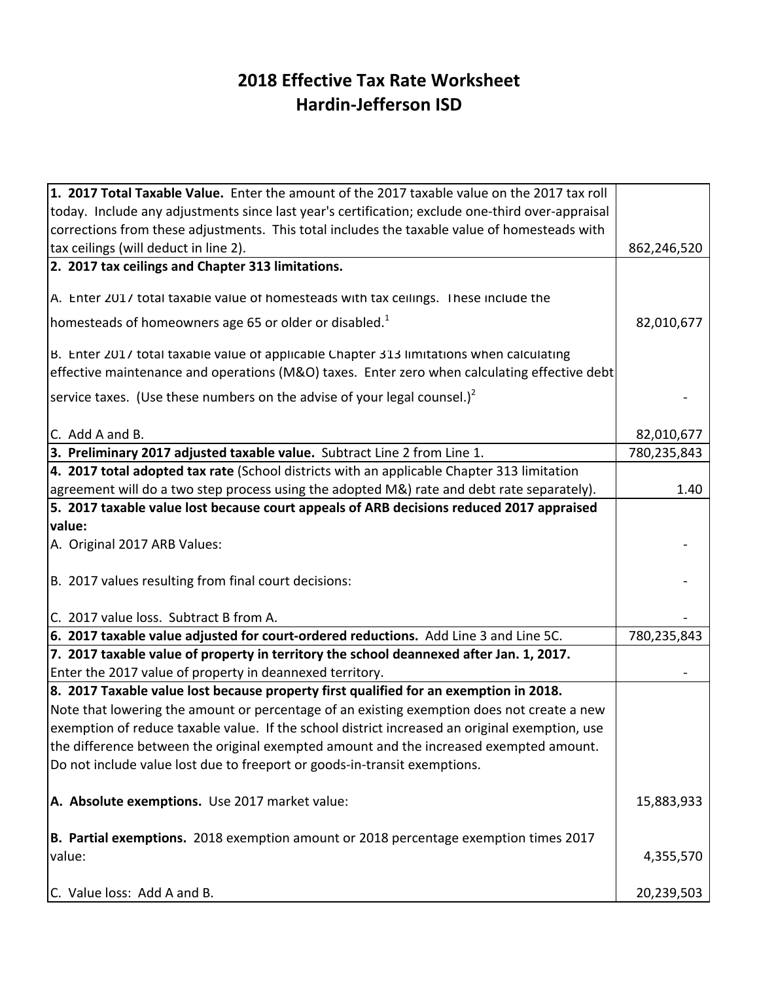## **2018 Effective Tax Rate Worksheet Hardin-Jefferson ISD**

| 1. 2017 Total Taxable Value. Enter the amount of the 2017 taxable value on the 2017 tax roll     |             |
|--------------------------------------------------------------------------------------------------|-------------|
| today. Include any adjustments since last year's certification; exclude one-third over-appraisal |             |
| corrections from these adjustments. This total includes the taxable value of homesteads with     |             |
| tax ceilings (will deduct in line 2).                                                            | 862,246,520 |
| 2. 2017 tax ceilings and Chapter 313 limitations.                                                |             |
|                                                                                                  |             |
| A. Enter 2017 total taxable value of homesteads with tax ceilings. These include the             |             |
| homesteads of homeowners age 65 or older or disabled. <sup>1</sup>                               | 82,010,677  |
| B. Enter 2017 total taxable value of applicable Chapter 313 limitations when calculating         |             |
| effective maintenance and operations (M&O) taxes. Enter zero when calculating effective debt     |             |
| Service taxes. (Use these numbers on the advise of your legal counsel.) <sup>2</sup>             |             |
| C. Add A and B.                                                                                  | 82,010,677  |
| 3. Preliminary 2017 adjusted taxable value. Subtract Line 2 from Line 1.                         | 780,235,843 |
| 4. 2017 total adopted tax rate (School districts with an applicable Chapter 313 limitation       |             |
| agreement will do a two step process using the adopted M&) rate and debt rate separately).       | 1.40        |
| $ 5. 2017$ taxable value lost because court appeals of ARB decisions reduced 2017 appraised      |             |
| value:                                                                                           |             |
| A. Original 2017 ARB Values:                                                                     |             |
|                                                                                                  |             |
| B. 2017 values resulting from final court decisions:                                             |             |
| C. 2017 value loss. Subtract B from A.                                                           |             |
| 6. 2017 taxable value adjusted for court-ordered reductions. Add Line 3 and Line 5C.             | 780,235,843 |
| 7. 2017 taxable value of property in territory the school deannexed after Jan. 1, 2017.          |             |
| Enter the 2017 value of property in deannexed territory.                                         |             |
| $\vert$ 8. 2017 Taxable value lost because property first qualified for an exemption in 2018.    |             |
| Note that lowering the amount or percentage of an existing exemption does not create a new       |             |
| exemption of reduce taxable value. If the school district increased an original exemption, use   |             |
| the difference between the original exempted amount and the increased exempted amount.           |             |
| Do not include value lost due to freeport or goods-in-transit exemptions.                        |             |
|                                                                                                  |             |
| A. Absolute exemptions. Use 2017 market value:                                                   | 15,883,933  |
|                                                                                                  |             |
| <b>B. Partial exemptions.</b> 2018 exemption amount or 2018 percentage exemption times 2017      |             |
| value:                                                                                           | 4,355,570   |
|                                                                                                  |             |
| C. Value loss: Add A and B.                                                                      | 20,239,503  |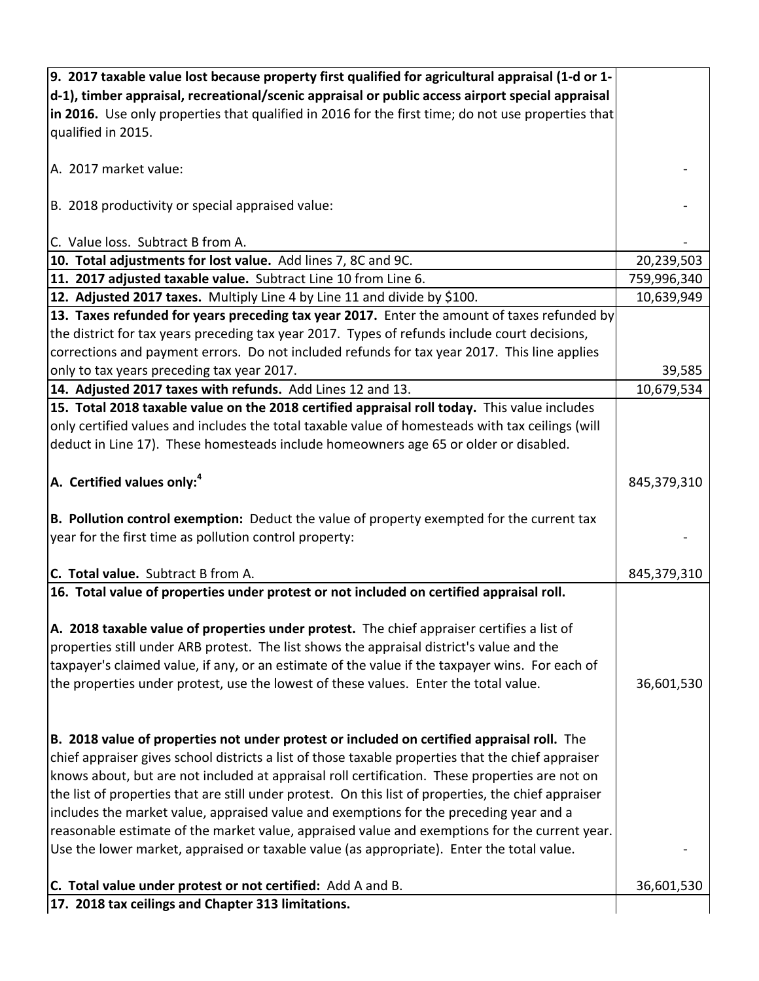| 9. 2017 taxable value lost because property first qualified for agricultural appraisal (1-d or 1-    |             |
|------------------------------------------------------------------------------------------------------|-------------|
| d-1), timber appraisal, recreational/scenic appraisal or public access airport special appraisal     |             |
| in 2016. Use only properties that qualified in 2016 for the first time; do not use properties that   |             |
| qualified in 2015.                                                                                   |             |
|                                                                                                      |             |
| A. 2017 market value:                                                                                |             |
|                                                                                                      |             |
| B. 2018 productivity or special appraised value:                                                     |             |
|                                                                                                      |             |
| C. Value loss. Subtract B from A.                                                                    |             |
| 10. Total adjustments for lost value. Add lines 7, 8C and 9C.                                        | 20,239,503  |
| 11. 2017 adjusted taxable value. Subtract Line 10 from Line 6.                                       | 759,996,340 |
| 12. Adjusted 2017 taxes. Multiply Line 4 by Line 11 and divide by \$100.                             | 10,639,949  |
| 13. Taxes refunded for years preceding tax year 2017. Enter the amount of taxes refunded by          |             |
| the district for tax years preceding tax year 2017. Types of refunds include court decisions,        |             |
| corrections and payment errors. Do not included refunds for tax year 2017. This line applies         |             |
| only to tax years preceding tax year 2017.                                                           | 39,585      |
| 14. Adjusted 2017 taxes with refunds. Add Lines 12 and 13.                                           | 10,679,534  |
| 15. Total 2018 taxable value on the 2018 certified appraisal roll today. This value includes         |             |
| only certified values and includes the total taxable value of homesteads with tax ceilings (will     |             |
| deduct in Line 17). These homesteads include homeowners age 65 or older or disabled.                 |             |
|                                                                                                      |             |
| $ A.$ Certified values only: <sup>4</sup>                                                            | 845,379,310 |
|                                                                                                      |             |
| B. Pollution control exemption: Deduct the value of property exempted for the current tax            |             |
| year for the first time as pollution control property:                                               |             |
|                                                                                                      |             |
| C. Total value. Subtract B from A.                                                                   | 845,379,310 |
| 16. Total value of properties under protest or not included on certified appraisal roll.             |             |
|                                                                                                      |             |
| A. 2018 taxable value of properties under protest. The chief appraiser certifies a list of           |             |
| properties still under ARB protest. The list shows the appraisal district's value and the            |             |
| taxpayer's claimed value, if any, or an estimate of the value if the taxpayer wins. For each of      |             |
| the properties under protest, use the lowest of these values. Enter the total value.                 | 36,601,530  |
|                                                                                                      |             |
|                                                                                                      |             |
| B. 2018 value of properties not under protest or included on certified appraisal roll. The           |             |
| chief appraiser gives school districts a list of those taxable properties that the chief appraiser   |             |
| knows about, but are not included at appraisal roll certification. These properties are not on       |             |
| the list of properties that are still under protest. On this list of properties, the chief appraiser |             |
| includes the market value, appraised value and exemptions for the preceding year and a               |             |
| reasonable estimate of the market value, appraised value and exemptions for the current year.        |             |
| Use the lower market, appraised or taxable value (as appropriate). Enter the total value.            |             |
|                                                                                                      |             |
| C. Total value under protest or not certified: Add A and B.                                          | 36,601,530  |
| 17. 2018 tax ceilings and Chapter 313 limitations.                                                   |             |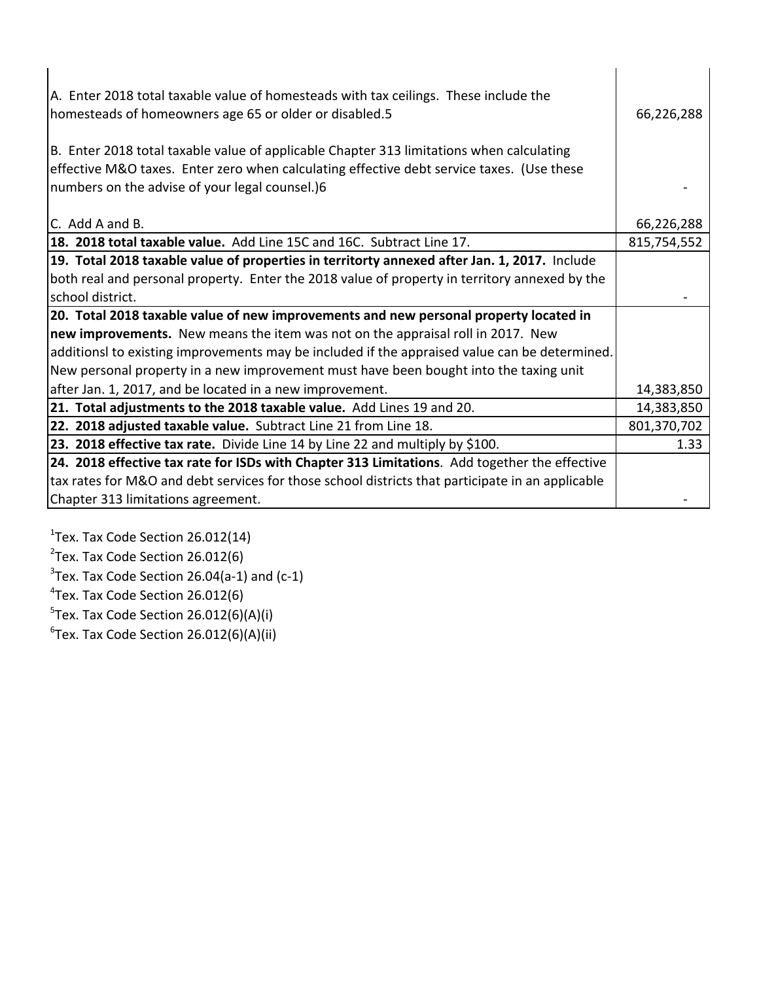| A. Enter 2018 total taxable value of homesteads with tax ceilings. These include the<br>homesteads of homeowners age 65 or older or disabled.5 | 66,226,288  |
|------------------------------------------------------------------------------------------------------------------------------------------------|-------------|
| B. Enter 2018 total taxable value of applicable Chapter 313 limitations when calculating                                                       |             |
| effective M&O taxes. Enter zero when calculating effective debt service taxes. (Use these                                                      |             |
| numbers on the advise of your legal counsel.)6                                                                                                 |             |
|                                                                                                                                                |             |
| C. Add A and B.                                                                                                                                | 66,226,288  |
| 18. 2018 total taxable value. Add Line 15C and 16C. Subtract Line 17.                                                                          | 815,754,552 |
| 19. Total 2018 taxable value of properties in territorty annexed after Jan. 1, 2017. Include                                                   |             |
| both real and personal property. Enter the 2018 value of property in territory annexed by the                                                  |             |
| school district.                                                                                                                               |             |
| 20. Total 2018 taxable value of new improvements and new personal property located in                                                          |             |
| new improvements. New means the item was not on the appraisal roll in 2017. New                                                                |             |
| additionsl to existing improvements may be included if the appraised value can be determined.                                                  |             |
| New personal property in a new improvement must have been bought into the taxing unit                                                          |             |
| after Jan. 1, 2017, and be located in a new improvement.                                                                                       | 14,383,850  |
| 21. Total adjustments to the 2018 taxable value. Add Lines 19 and 20.                                                                          | 14,383,850  |
| 22. 2018 adjusted taxable value. Subtract Line 21 from Line 18.                                                                                | 801,370,702 |
| 23. 2018 effective tax rate. Divide Line 14 by Line 22 and multiply by \$100.                                                                  | 1.33        |
| 24. 2018 effective tax rate for ISDs with Chapter 313 Limitations. Add together the effective                                                  |             |
| tax rates for M&O and debt services for those school districts that participate in an applicable                                               |             |
| Chapter 313 limitations agreement.                                                                                                             |             |

 $1$ Tex. Tax Code Section 26.012(14)

 $2$ Tex. Tax Code Section 26.012(6)

 $3$ Tex. Tax Code Section 26.04(a-1) and (c-1)

 $\rm ^4$ Tex. Tax Code Section 26.012(6)

 $5$ Tex. Tax Code Section 26.012(6)(A)(i)

 $^6$ Tex. Tax Code Section 26.012(6)(A)(ii)